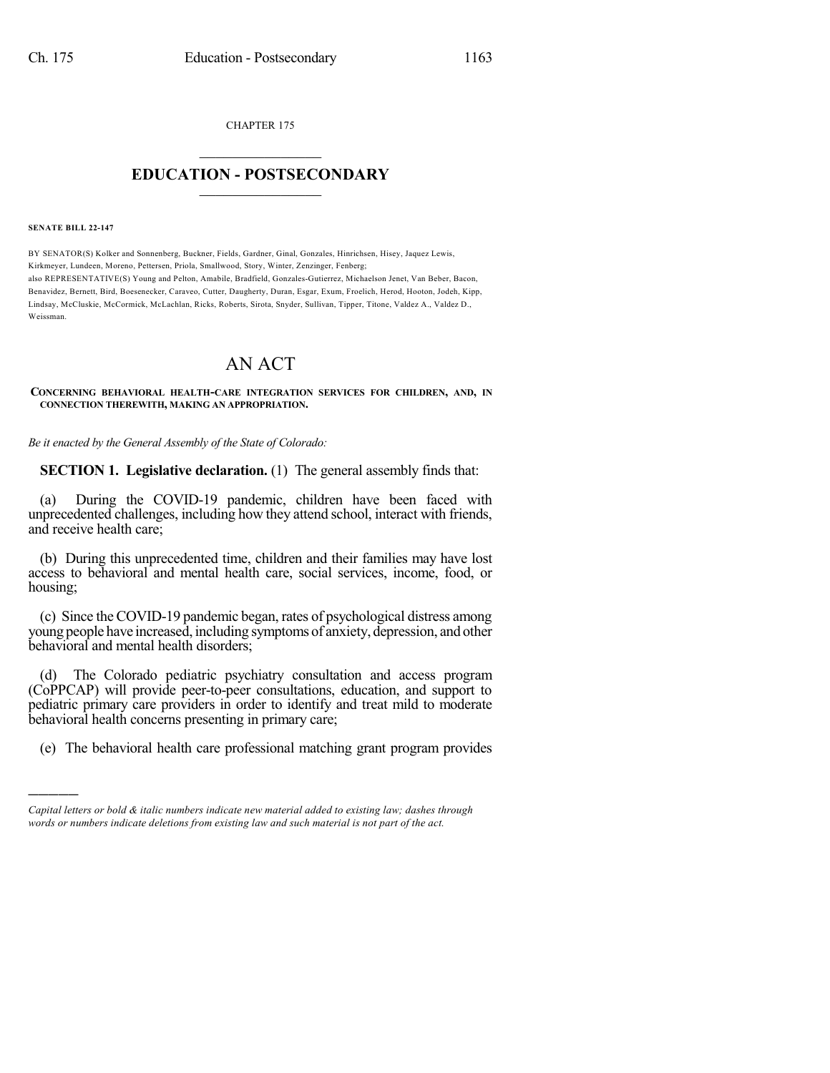CHAPTER 175

## $\mathcal{L}_\text{max}$  . The set of the set of the set of the set of the set of the set of the set of the set of the set of the set of the set of the set of the set of the set of the set of the set of the set of the set of the set **EDUCATION - POSTSECONDARY**  $\_$   $\_$   $\_$   $\_$   $\_$   $\_$   $\_$   $\_$   $\_$

**SENATE BILL 22-147**

)))))

BY SENATOR(S) Kolker and Sonnenberg, Buckner, Fields, Gardner, Ginal, Gonzales, Hinrichsen, Hisey, Jaquez Lewis, Kirkmeyer, Lundeen, Moreno, Pettersen, Priola, Smallwood, Story, Winter, Zenzinger, Fenberg; also REPRESENTATIVE(S) Young and Pelton, Amabile, Bradfield, Gonzales-Gutierrez, Michaelson Jenet, Van Beber, Bacon, Benavidez, Bernett, Bird, Boesenecker, Caraveo, Cutter, Daugherty, Duran, Esgar, Exum, Froelich, Herod, Hooton, Jodeh, Kipp, Lindsay, McCluskie, McCormick, McLachlan, Ricks, Roberts, Sirota, Snyder, Sullivan, Tipper, Titone, Valdez A., Valdez D., Weissman.

## AN ACT

**CONCERNING BEHAVIORAL HEALTH-CARE INTEGRATION SERVICES FOR CHILDREN, AND, IN CONNECTION THEREWITH, MAKING AN APPROPRIATION.**

*Be it enacted by the General Assembly of the State of Colorado:*

**SECTION 1. Legislative declaration.** (1) The general assembly finds that:

(a) During the COVID-19 pandemic, children have been faced with unprecedented challenges, including how they attend school, interact with friends, and receive health care;

(b) During this unprecedented time, children and their families may have lost access to behavioral and mental health care, social services, income, food, or housing;

(c) Since the COVID-19 pandemic began, rates of psychological distress among young people have increased, including symptoms of anxiety, depression, and other behavioral and mental health disorders;

(d) The Colorado pediatric psychiatry consultation and access program (CoPPCAP) will provide peer-to-peer consultations, education, and support to pediatric primary care providers in order to identify and treat mild to moderate behavioral health concerns presenting in primary care;

(e) The behavioral health care professional matching grant program provides

*Capital letters or bold & italic numbers indicate new material added to existing law; dashes through words or numbers indicate deletions from existing law and such material is not part of the act.*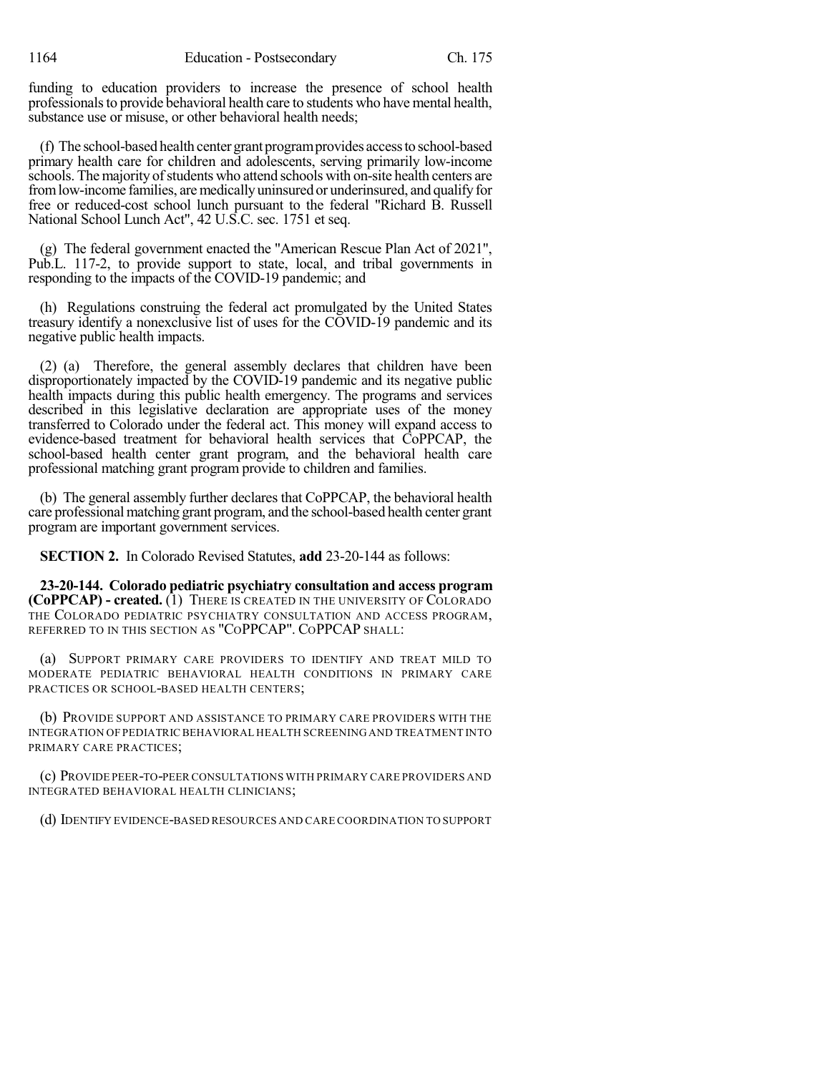funding to education providers to increase the presence of school health professionals to provide behavioral health care to students who have mental health, substance use or misuse, or other behavioral health needs;

(f) The school-based health center grant programprovides accessto school-based primary health care for children and adolescents, serving primarily low-income schools. The majority of students who attend schools with on-site health centers are from low-income families, are medically uninsured or underinsured, and qualify for free or reduced-cost school lunch pursuant to the federal "Richard B. Russell National School Lunch Act", 42 U.S.C. sec. 1751 et seq.

(g) The federal government enacted the "American Rescue Plan Act of 2021", Pub.L. 117-2, to provide support to state, local, and tribal governments in responding to the impacts of the COVID-19 pandemic; and

(h) Regulations construing the federal act promulgated by the United States treasury identify a nonexclusive list of uses for the COVID-19 pandemic and its negative public health impacts.

(2) (a) Therefore, the general assembly declares that children have been disproportionately impacted by the COVID-19 pandemic and its negative public health impacts during this public health emergency. The programs and services described in this legislative declaration are appropriate uses of the money transferred to Colorado under the federal act. This money will expand access to evidence-based treatment for behavioral health services that CoPPCAP, the school-based health center grant program, and the behavioral health care professional matching grant program provide to children and families.

(b) The general assembly further declares that CoPPCAP, the behavioral health care professional matching grant program, and the school-based health center grant program are important government services.

**SECTION 2.** In Colorado Revised Statutes, **add** 23-20-144 as follows:

**23-20-144. Colorado pediatric psychiatry consultation and access program (CoPPCAP) - created.** (1) THERE IS CREATED IN THE UNIVERSITY OF COLORADO THE COLORADO PEDIATRIC PSYCHIATRY CONSULTATION AND ACCESS PROGRAM, REFERRED TO IN THIS SECTION AS "COPPCAP". COPPCAP SHALL:

(a) SUPPORT PRIMARY CARE PROVIDERS TO IDENTIFY AND TREAT MILD TO MODERATE PEDIATRIC BEHAVIORAL HEALTH CONDITIONS IN PRIMARY CARE PRACTICES OR SCHOOL-BASED HEALTH CENTERS;

(b) PROVIDE SUPPORT AND ASSISTANCE TO PRIMARY CARE PROVIDERS WITH THE INTEGRATION OF PEDIATRIC BEHAVIORAL HEALTH SCREENING AND TREATMENT INTO PRIMARY CARE PRACTICES;

(c) PROVIDE PEER-TO-PEER CONSULTATIONS WITH PRIMARY CARE PROVIDERS AND INTEGRATED BEHAVIORAL HEALTH CLINICIANS;

(d) IDENTIFY EVIDENCE-BASED RESOURCES AND CARE COORDINATION TO SUPPORT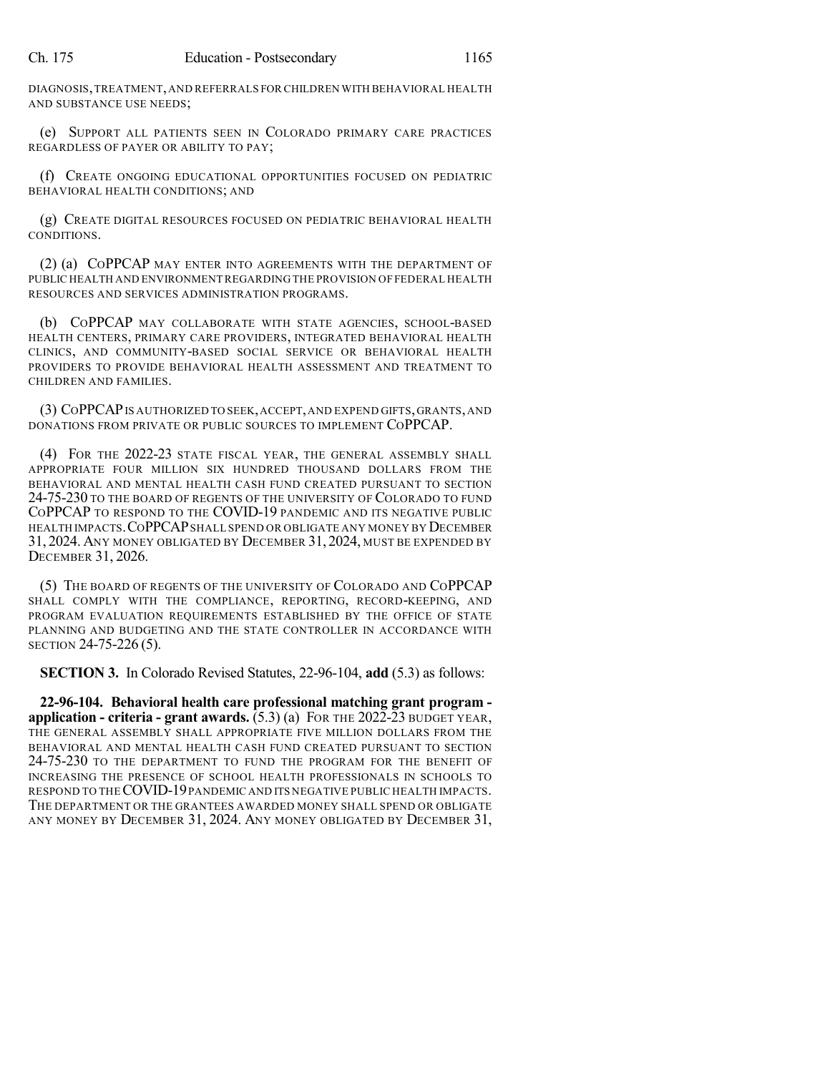DIAGNOSIS,TREATMENT,AND REFERRALS FOR CHILDREN WITH BEHAVIORAL HEALTH AND SUBSTANCE USE NEEDS;

(e) SUPPORT ALL PATIENTS SEEN IN COLORADO PRIMARY CARE PRACTICES REGARDLESS OF PAYER OR ABILITY TO PAY;

(f) CREATE ONGOING EDUCATIONAL OPPORTUNITIES FOCUSED ON PEDIATRIC BEHAVIORAL HEALTH CONDITIONS; AND

(g) CREATE DIGITAL RESOURCES FOCUSED ON PEDIATRIC BEHAVIORAL HEALTH CONDITIONS.

(2) (a) COPPCAP MAY ENTER INTO AGREEMENTS WITH THE DEPARTMENT OF PUBLIC HEALTH AND ENVIRONMENT REGARDING THE PROVISION OF FEDERAL HEALTH RESOURCES AND SERVICES ADMINISTRATION PROGRAMS.

(b) COPPCAP MAY COLLABORATE WITH STATE AGENCIES, SCHOOL-BASED HEALTH CENTERS, PRIMARY CARE PROVIDERS, INTEGRATED BEHAVIORAL HEALTH CLINICS, AND COMMUNITY-BASED SOCIAL SERVICE OR BEHAVIORAL HEALTH PROVIDERS TO PROVIDE BEHAVIORAL HEALTH ASSESSMENT AND TREATMENT TO CHILDREN AND FAMILIES.

(3) COPPCAPIS AUTHORIZED TO SEEK,ACCEPT,AND EXPEND GIFTS,GRANTS,AND DONATIONS FROM PRIVATE OR PUBLIC SOURCES TO IMPLEMENT COPPCAP.

(4) FOR THE 2022-23 STATE FISCAL YEAR, THE GENERAL ASSEMBLY SHALL APPROPRIATE FOUR MILLION SIX HUNDRED THOUSAND DOLLARS FROM THE BEHAVIORAL AND MENTAL HEALTH CASH FUND CREATED PURSUANT TO SECTION 24-75-230 TO THE BOARD OF REGENTS OF THE UNIVERSITY OF COLORADO TO FUND COPPCAP TO RESPOND TO THE COVID-19 PANDEMIC AND ITS NEGATIVE PUBLIC HEALTH IMPACTS. COPPCAP SHALL SPEND OR OBLIGATE ANY MONEY BY DECEMBER 31, 2024. ANY MONEY OBLIGATED BY DECEMBER 31, 2024, MUST BE EXPENDED BY DECEMBER 31, 2026.

(5) THE BOARD OF REGENTS OF THE UNIVERSITY OF COLORADO AND COPPCAP SHALL COMPLY WITH THE COMPLIANCE, REPORTING, RECORD-KEEPING, AND PROGRAM EVALUATION REQUIREMENTS ESTABLISHED BY THE OFFICE OF STATE PLANNING AND BUDGETING AND THE STATE CONTROLLER IN ACCORDANCE WITH SECTION 24-75-226 (5).

**SECTION 3.** In Colorado Revised Statutes, 22-96-104, **add** (5.3) as follows:

**22-96-104. Behavioral health care professional matching grant program application - criteria - grant awards.** (5.3) (a) FOR THE 2022-23 BUDGET YEAR, THE GENERAL ASSEMBLY SHALL APPROPRIATE FIVE MILLION DOLLARS FROM THE BEHAVIORAL AND MENTAL HEALTH CASH FUND CREATED PURSUANT TO SECTION 24-75-230 TO THE DEPARTMENT TO FUND THE PROGRAM FOR THE BENEFIT OF INCREASING THE PRESENCE OF SCHOOL HEALTH PROFESSIONALS IN SCHOOLS TO RESPOND TO THECOVID-19PANDEMIC AND ITS NEGATIVE PUBLIC HEALTH IMPACTS. THE DEPARTMENT OR THE GRANTEES AWARDED MONEY SHALL SPEND OR OBLIGATE ANY MONEY BY DECEMBER 31, 2024. ANY MONEY OBLIGATED BY DECEMBER 31,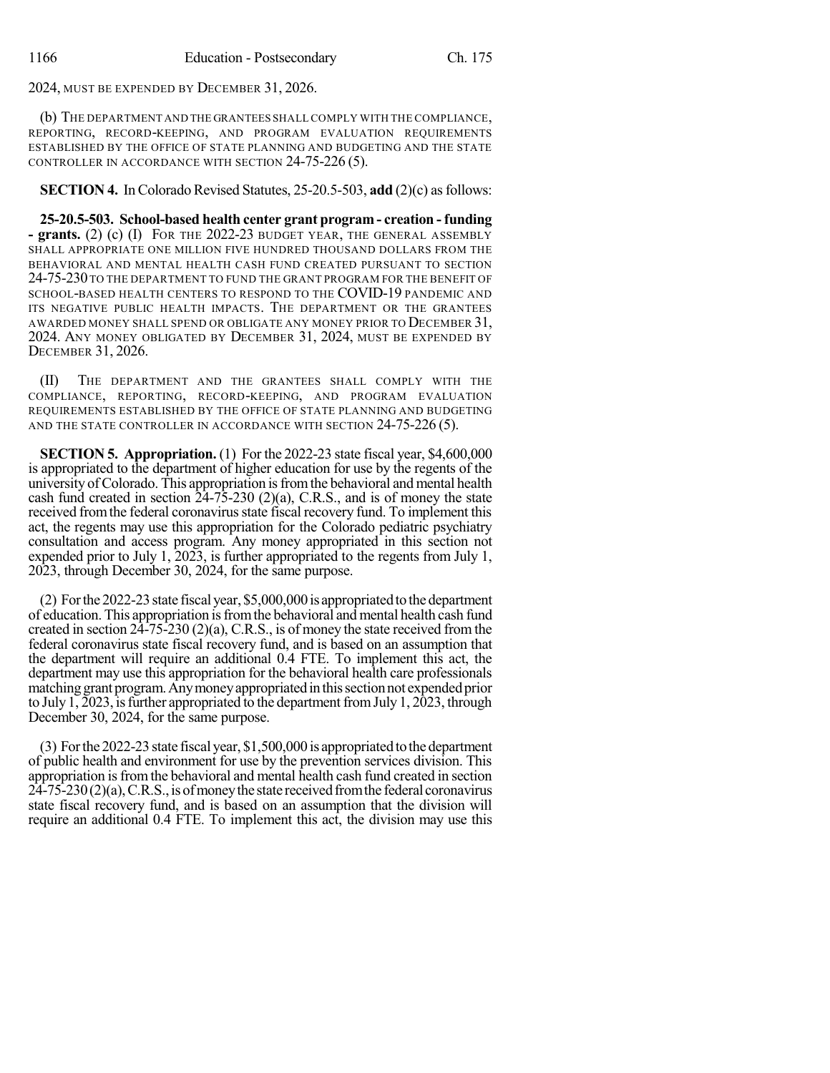2024, MUST BE EXPENDED BY DECEMBER 31, 2026.

(b) THE DEPARTMENT AND THE GRANTEES SHALL COMPLY WITH THE COMPLIANCE, REPORTING, RECORD-KEEPING, AND PROGRAM EVALUATION REQUIREMENTS ESTABLISHED BY THE OFFICE OF STATE PLANNING AND BUDGETING AND THE STATE CONTROLLER IN ACCORDANCE WITH SECTION 24-75-226 (5).

## **SECTION 4.** In Colorado Revised Statutes, 25-20.5-503, add (2)(c) as follows:

**25-20.5-503. School-based health center grant program - creation - funding - grants.** (2) (c) (I) FOR THE 2022-23 BUDGET YEAR, THE GENERAL ASSEMBLY SHALL APPROPRIATE ONE MILLION FIVE HUNDRED THOUSAND DOLLARS FROM THE BEHAVIORAL AND MENTAL HEALTH CASH FUND CREATED PURSUANT TO SECTION 24-75-230 TO THE DEPARTMENT TO FUND THE GRANT PROGRAM FOR THE BENEFIT OF SCHOOL-BASED HEALTH CENTERS TO RESPOND TO THE COVID-19 PANDEMIC AND ITS NEGATIVE PUBLIC HEALTH IMPACTS. THE DEPARTMENT OR THE GRANTEES AWARDED MONEY SHALL SPEND OR OBLIGATE ANY MONEY PRIOR TO DECEMBER 31, 2024. ANY MONEY OBLIGATED BY DECEMBER 31, 2024, MUST BE EXPENDED BY DECEMBER 31, 2026.

(II) THE DEPARTMENT AND THE GRANTEES SHALL COMPLY WITH THE COMPLIANCE, REPORTING, RECORD-KEEPING, AND PROGRAM EVALUATION REQUIREMENTS ESTABLISHED BY THE OFFICE OF STATE PLANNING AND BUDGETING AND THE STATE CONTROLLER IN ACCORDANCE WITH SECTION 24-75-226 (5).

**SECTION 5. Appropriation.** (1) For the 2022-23 state fiscal year, \$4,600,000 is appropriated to the department of higher education for use by the regents of the university of Colorado. This appropriation is from the behavioral and mental health cash fund created in section 24-75-230 (2)(a), C.R.S., and is of money the state received from the federal coronavirus state fiscal recovery fund. To implement this act, the regents may use this appropriation for the Colorado pediatric psychiatry consultation and access program. Any money appropriated in this section not expended prior to July 1, 2023, is further appropriated to the regents from July 1, 2023, through December 30, 2024, for the same purpose.

 $(2)$  For the 2022-23 state fiscal year, \$5,000,000 is appropriated to the department of education. This appropriation isfromthe behavioral and mental health cash fund created in section 24-75-230 (2)(a), C.R.S., is of money the state received from the federal coronavirus state fiscal recovery fund, and is based on an assumption that the department will require an additional 0.4 FTE. To implement this act, the department may use this appropriation for the behavioral health care professionals matching grant program. Any money appropriated in this section not expended prior to July 1, 2023, is further appropriated to the department from July 1, 2023, through December 30, 2024, for the same purpose.

(3) Forthe 2022-23 state fiscal year, \$1,500,000 is appropriated tothedepartment of public health and environment for use by the prevention services division. This appropriation is from the behavioral and mental health cash fund created in section  $24-75-230(2)(a)$ , C.R.S., is of money the state received from the federal coronavirus state fiscal recovery fund, and is based on an assumption that the division will require an additional 0.4 FTE. To implement this act, the division may use this